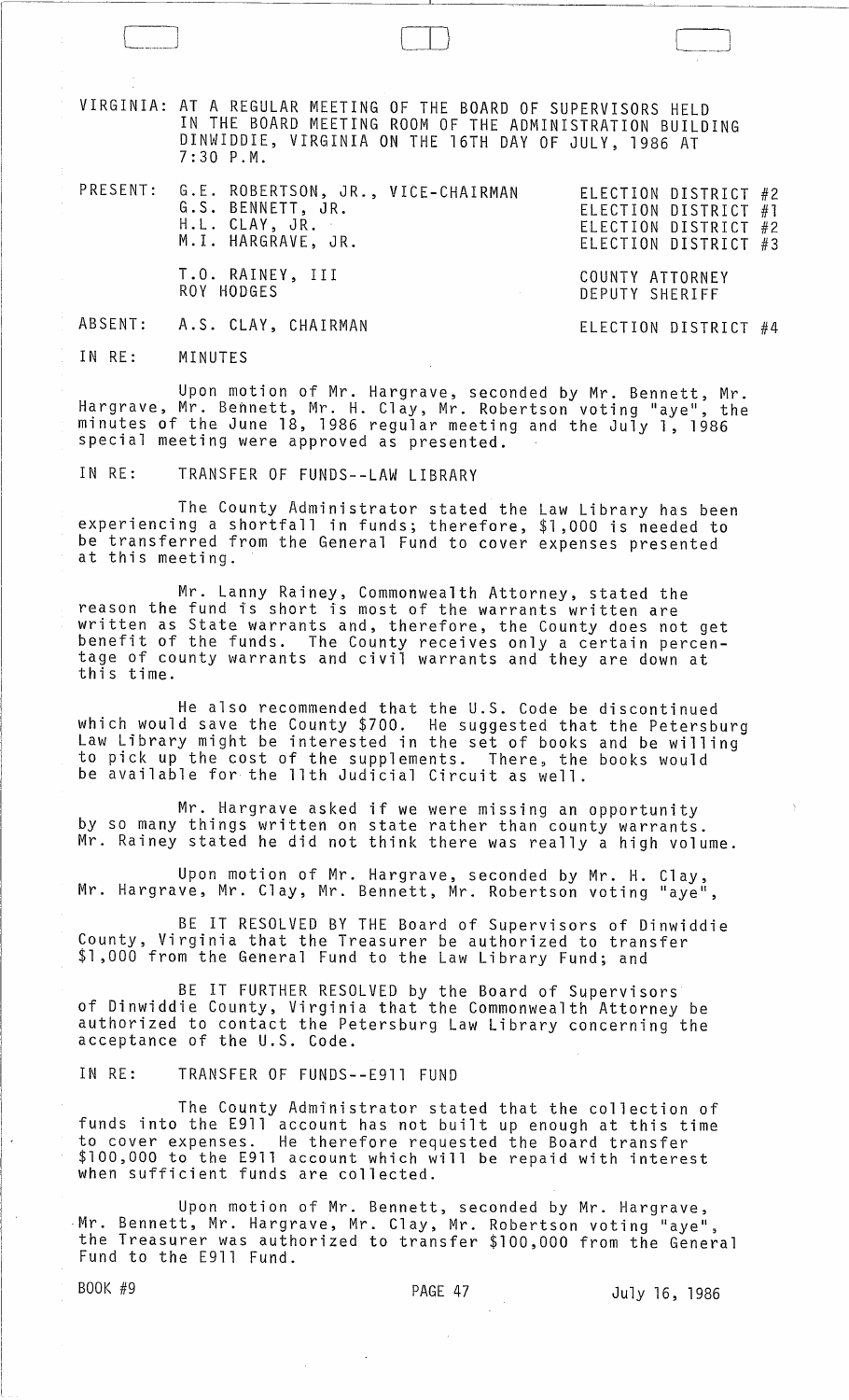VIRGINIA: AT A REGULAR MEETING OF THE BOARD OF SUPERVISORS HELD IN THE BOARD MEETING ROOM OF THE ADMINISTRATION BUILDING DINWIDDIE, VIRGINIA ON THE 16TH DAY OF JULY, 1986 AT 7:30 P.M.

 $\Box$ 

| PRESENT: G.E. ROBERTSON, JR., VICE-CHAIRMAN<br>G.S. BENNETT, JR.<br>H.L. CLAY, JR.<br>M.I. HARGRAVE, JR. | ELECTION DISTRICT #2<br>ELECTION DISTRICT #1<br>ELECTION DISTRICT #2<br>ELECTION DISTRICT #3 |
|----------------------------------------------------------------------------------------------------------|----------------------------------------------------------------------------------------------|
| T.O. RAINEY, III<br>ROY HODGES<br>and the control of the con-                                            | COUNTY ATTORNEY<br>DEPUTY SHERIFF                                                            |
| ABSENT: A.S. CLAY, CHAIRMAN                                                                              | ELECTION DISTRICT #4                                                                         |

IN RE: MINUTES

Upon motion of Mr. Hargrave, seconded by Mr. Bennett, Mr. Hargrave, Mr. Bennett, Mr. H. Clay, Mr. Robertson voting "aye", the minutes of the June 18, 1986 regular meeting and the July 1, 1986 special meeting were approved as presented.

IN RE: TRANSFER OF FUNDS--LAW LIBRARY

The County Administrator stated the Law Library has been experiencing a shortfall in funds; therefore, \$1,000 is needed to be transferred from the General Fund to cover expenses presented at this meeting.

Mr. Lanny Rainey, Commonwealth Attorney, stated the reason the fund is short is most of the warrants written are written as State warrants and, therefore, the County does not get<br>benefit of the funds. The County receives only a certain percentage of county warrants and civil warrants and they are down at this time.

He also recommended that the U.S. Code be discontinued which would save the County \$700. He suggested that the Petersburg Law Library might be interested in the set of books and be willing to pick up the cost of the supplements. There, the books would be available for the 11th Judicial Circuit as well.

Mr. Hargrave asked if we were missing an opportunity by so many things written on state rather than county warrants. Mr. Rainey stated he did not think there was really a high volume.

Upon motion of Mr. Hargrave, seconded by Mr. H. Clay, Mr. Hargrave, Mr. Clay, Mr. Bennett, Mr. Robertson voting "aye",

BE IT RESOLVED BY THE Board of Supervisors of Dinwiddie County, Virginia that the Treasurer be authorized to transfer \$1,000 from the General Fund to the Law Library Fund; and

BE IT FURTHER RESOLVED by the Board of Supervisors of Dinwiddie County, Virginia that the Commonwealth Attorney be authorized to contact the Petersburg Law Library concerning the acceptance of the U.S. Code.

IN RE: TRANSFER OF FUNDS--E911 FUND

The County Administrator stated that the collection of funds into the E911 account has not built up enough at this time to cover expenses. He therefore requested the Board transfer \$100,000 to the E911 account which will be repaid with interest when sufficient funds are collected.

Upon motion of Mr. Bennett, seconded by Mr. Hargrave, -Mr. Bennett, Mr. Hargrave, Mr. Clay, Mr. Robertson voting "aye", the Treasurer was authorized to transfer \$100,000 from the General Fund to the E911 Fund.

BOOK #9 **PAGE 47** PAGE 47 July 16, 1986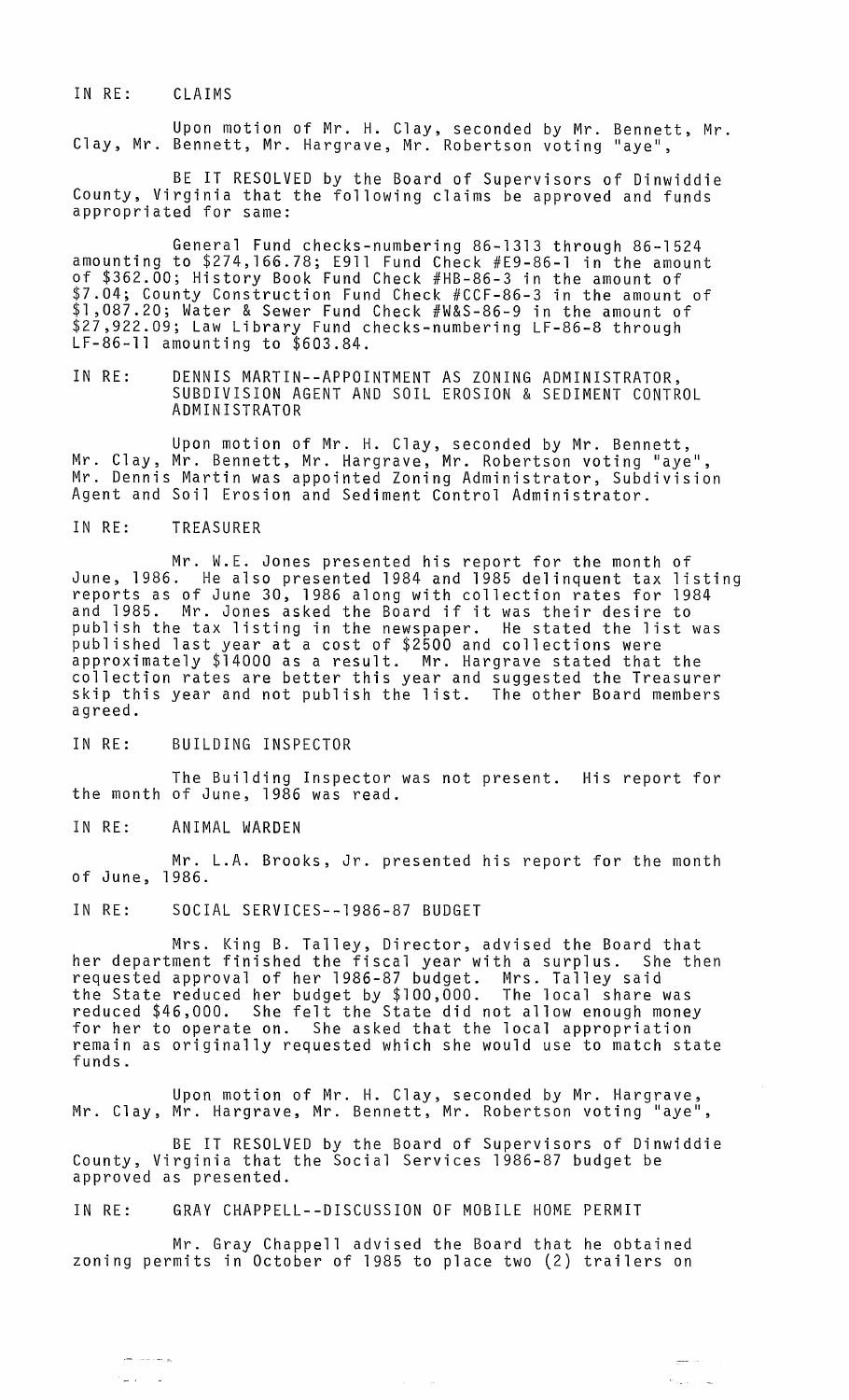IN RE: CLAIMS

Upon motion of Mr. H. Clay, seconded by Mr. Bennett, Mr. Clay, Mr. Bennett, Mr. Hargrave, Mr. Robertson voting "aye",

BE IT RESOLVED by the Board of Supervisors of Dinwiddie County, Virginia that the following claims be approved and funds appropriated for same:

General Fund checks-numbering 86-1313 through 86-1524 amounting to \$274,166.78; E9ll Fund Check #E9-86-1 in the amount of \$362.00; History Book Fund Check #HB-86-3 in the amount of \$7.04; County Construction Fund Check #CCF-86-3 in the amount of \$1,087.20; Water & Sewer Fund Check #W&S-86-9 in the amount of \$27,922.09; Law Library Fund checks-numbering LF-86-8 through<br>LF-86-11 amounting to \$603.84.

IN RE: DENNIS MARTIN--APPOINTMENT AS ZONING ADMINISTRATOR, SUBDIVISION AGENT AND SOIL EROSION & SEDIMENT CONTROL ADMINISTRATOR

Upon motion of Mr. H. Clay, seconded by Mr. Bennett, Mr. Clay, Mr. Bennett, Mr. Hargrave, Mr. Robertson voting "aye",<br>Mr. Dennis Martin was appointed Zoning Administrator, Subdivision Mr. Dennis Martin was appointed Zoning Administrator, Subdivision<br>Agent and Soil Erosion and Sediment Control Administrator.

## IN RE: TREASURER

Mr. W.E. Jones presented his report for the month of June, 1986. He also presented 1984 and 1985 delinquent tax listing reports as of June 30, 1986 along with collection rates for 1984 and 1985. Mr. Jones asked the Board if it was their desire to publish the tax listing in the newspaper. He stated the list was published last year at a cost of \$2500 and collections were approximately \$14000 as a result. Mr. Hargrave stated that the collection rates are better this year and suggested the Treasurer skip this year and not publish the list. The other Board members agreed.

IN RE: BUILDING INSPECTOR

The Building Inspector was not present. His report for the month of June, 1986 was read.

IN RE: ANIMAL WARDEN

لم مدينة المد

 $\frac{1}{2}$  .  $\frac{1}{2}$ 

Mr. L.A. Brooks, Jr. presented his report for the month of June, 1986.

IN RE: SOCIAL SERVICES--1986-87 BUDGET

Mrs. King B. Talley, Director, advised the Board that her department finished the fiscal year with a surplus. She then requested approval of her 1986-87 budget. Mrs. Talley said the State reduced her budget by \$100,000. The local share was reduced \$46,000. She felt the State did not allow enough money for her to operate on. She asked that the local appropriation remain as originally requested which she would use to match state funds.

Upon motion of Mr. H. Clay, seconded by Mr. Hargrave,<br>Mr. Clay, Mr. Hargrave, Mr. Bennett, Mr. Robertson voting "aye",

BE IT RESOLVED by the Board of Supervisors of Dinwiddie County, Virginia that the Social Services 1986-87 budget be approved as presented.

## IN RE: GRAY CHAPPELL--DISCUSSION OF MOBILE HOME PERMIT

Mr. Gray Chappell advised the Board that he obtained zoning permits in October of 1985 to place two (2) trailers on

أنابت المنبي

 $\sigma_{\rm max} = 100$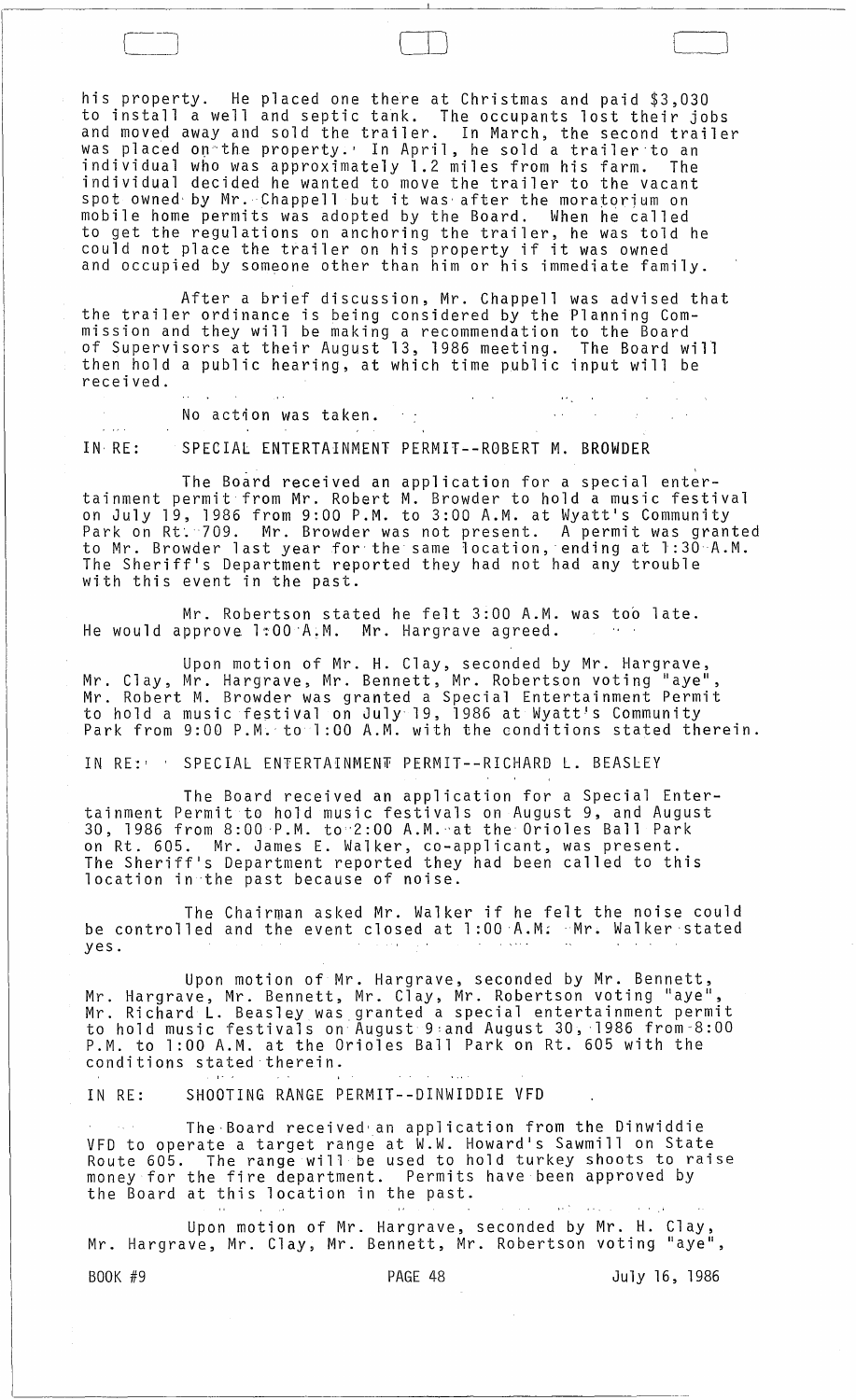his property. He placed one there at Christmas and paid \$3,030 to install a well and septic tank. The occupants lost their jobs and moved away and sold the trailer. In March, the second trailer was placed on the property.' In April, he sold a trailer to an individual who was approximately 1.2 miles from his farm. The individual decided he wanted to move the trailer to the vacant spot owned· by Mr. Chappell but it was' after the moratorium on mobile home permits was adopted by the Board. When he called to get the regulations on anchoring the trailer, he was told he could not place the trailer on his property if it was owned and occupied by someone other than him or his immediate family.

 $\Box$ 

After a brief discussion, Mr. Chappell the trailer ordinance is being considered by the mission and they will be making a recommendation of Supervisors at their August 13, 1986 meeting. then hold a public hearing, at which time public received. After a brief discussion, Mr. Chappell was advised that Planning Comto the Board The Board will input will be

No action was taken.  $\sim 10^7$  $\mathbf{r}$  and  $\mathbf{r}$ IN RE: SPECIAL ENTERTAINMENT PERMIT--ROBERT M. BROWDER

The Board received an application for a special entertainment permit from Mr. Robert M. Browder to hold a music festival on July 19, 1986 from 9:00 P.M. to 3:00 A.M. at Wyatt's Community Park on Rt. 709. Mr. Browder was not present. A permit was granted to Mr. Browder last year for the same location, ending at 1:30 A.M. The Sheriff's Department reported they had not had any trouble with this event in the past.

Mr. Robertson stated he felt 3:00 A.M. was too late. He would approve 1:00 A.M. Mr. Hargrave agreed.

Upon motion of Mr. H. Clay, seconded by Mr. Hargrave, Mr. Clay, Mr. Hargrave, Mr. Bennett, Mr. Robertson voting "aye", Mr. Robert M. Browder was granted a Special Entertainment Permit to hold a music festival on JulY'19, 1986 at Wyatt!s Community Park from 9:00 P.M. to 1:00 A.M. with the conditions stated therein.

IN RE: ' SPECIAL ENTERTAINMENT PERMIT--RICHARD L. BEASLEY

The Board received an application for a Special Entertainment Permit to hold music festivals on August 9, and August 30, 1986 from 8:00 'P.M. to'2:00 A.M.·'at the Orioles Ball Park on Rt. 605. Mr. James E. Walker, co-applicant, was present. The Sheriff's Department reported they had been called to this location in the past because of noise.

The Chairman asked Mr. Walker if he felt the noise could be controlled and the event closed at 1:00 A.M: .Mr. Walker stated yes.

Upon motion of Mr. Hargrave, seconded by Mr. Bennett, Mr. Hargrave, Mr. Bennett, Mr. Clay, Mr. Robertson voting "aye", Mr. Richard L. Beasley was granted a special entertainment permit to hold music festivals on August 9:and August 30, ·1986 from-8:00 P.M. to 1:00 A.M. at the Orioles Ball Park on Rt. 605 with the conditions stated therein.

IN RE: SHOOTING RANGE PERMIT--DINWIDDIE VFD

The·Board received'an application from the Dinwiddie VFD to operate a target range at W.W. Howard's Sawmill on State Route 605. The range will be used to hold turkey shoots to raise money for the fire department. Permits have been approved by the Board at this location in the past.

Upon motion of Mr. Hargrave, seconded by Mr. H. Clay, Mr. Hargrave, Mr. Clay, Mr. Bennett, Mr. Robertson voting "aye",

BOOK #9 **PAGE 48** PAGE 48 July 16, 1986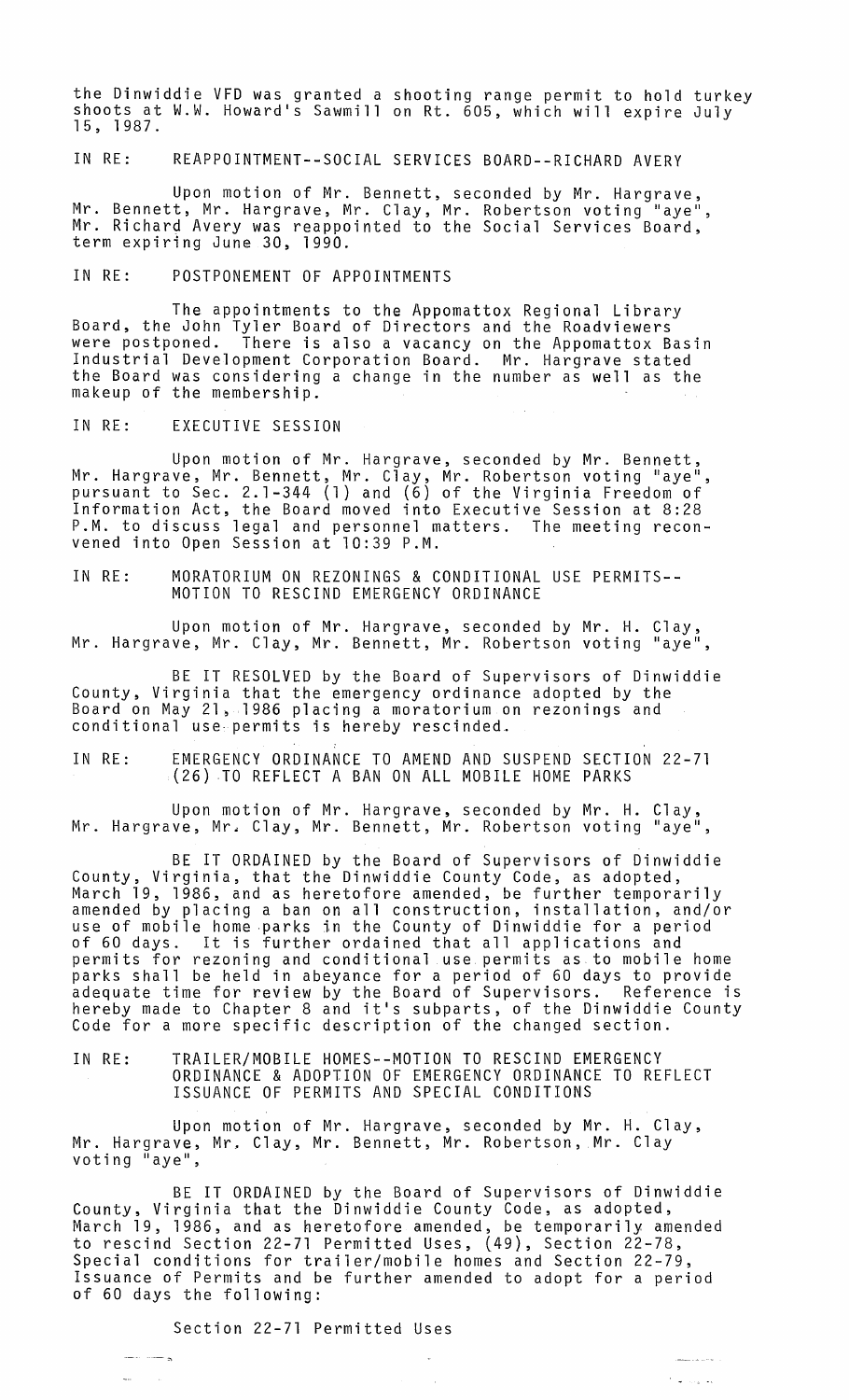the Dinwiddie VFD was granted a shooting range permit to hold turkey<br>shoots at W.W. Howard's Sawmill on Rt. 605, which will expire July<br>15, 1987.

IN RE: REAPPOINTMENT--SOCIAL SERVICES BOARD--RICHARD AVERY

Upon motion of Mr. Bennett, seconded by Mr. Hargrave, Mr. Bennett, Mr. Hargrave, Mr. Clay, Mr. Robertson voting "aye", Mr. Richard Avery was reappointed to the Social Services Board, term expiring June 30, 1990.

IN RE: POSTPONEMENT OF APPOINTMENTS

The appointments to the Appomattox Regional Library Board, the John Tyler Board of Directors and the Roadviewers were postponed. There is also a vacancy on the Appomattox Basin Industrial Development Corporation Board. Mr. Hargrave stated the Board was considering a change in the number as well as the makeup of the membership.

IN RE: EXECUTIVE SESSION

Upon motion of Mr. Hargrave, seconded by Mr. Bennett, Mr. Hargrave, Mr. Bennett, Mr. Clay, Mr. Robertson voting "aye", pursuant to Sec. 2.1-344 (1) and (6) of the Virginia Freedom of Information Act, the Board moved into Executive Session at 8:28 P.M. to discuss legal and personnel matters. The meeting reconvened into Open Session at 10:39 P.M.

IN RE: MORATORIUM ON REZONINGS & CONDITIONAL USE PERMITS-- MOTION TO RESCIND EMERGENCY ORDINANCE

Upon motion of Mr. Hargrave, seconded by Mr. H. Clay, Mr. Hargrave, Mr. Clay, Mr. Bennett, Mr. Robertson voting "aye",

BE IT RESOLVED by the Board of Supervisors of Dinwiddie County, Virginia that the emergency ordinance adopted by the Board on May 21, 1986 placing a moratorium on rezonings and conditional use· permits is hereby rescinded.

IN RE: EMERGENCY ORDINANCE TO AMEND AND SUSPEND SECTION 22-71 (26) ,TO REFLECT A BAN ON ALL MOBILE HOME PARKS

Upon motion of Mr. Hargrave, seconded by Mr. H. Clay, Mr. Hargrave, Mr. Clay, Mr. Bennett, Mr. Robertson voting "aye",

BE IT ORDAINED by the Board of Supervisors of Dinwiddie County, Virginia, that the Dinwiddie County Code, as adopted, March 19, 1986, and as heretofore amended, be further temporarily<br>amended by placing a ban on all construction, installation, and/or use of mobile home parks in the County of Dinwiddie for a period<br>of 60 days. It is further ordained that all applications and permits for rezoning and conditional use permits as to mobile home parks shall be held in abeyance for a period of 60 days to provide adequate time for review by the Board of Supervisors. Reference is adequate time for review by the board of supervisors. Kererence is<br>hereby made to Chapter 8 and it's subparts, of the Dinwiddie County<br>Code for a more specific description of the changed section.

IN RE: TRAILER/MOBILE HOMES--MOTION TO RESCIND EMERGENCY ORDINANCE & ADOPTION OF EMERGENCY ORDINANCE TO REFLECT ISSUANCE OF PERMITS AND SPECIAL CONDITIONS

Upon motion of Mr. Hargrave, seconded by Mr. H. Clay, Mr. Hargrave, Mr. Clay, Mr. Bennett, Mr. Robertson, Mr. Clay voting "aye",

BE IT ORDAINED by the Board of Supervisors of Dinwiddie County, Virginia that the Dinwiddie County Code, as adopted, March 19, 1986, and as heretofore amended, be temporarily amended to rescind Section 22-71 Permitted Uses, (49), Section 22-78, Special conditions for trailer/mobile homes and Section 22-79, Issuance of Permits and be further amended to adopt for a period of 60 days the following:

**College La** 

Section 22-71 Permitted Uses

ي السياسي المنصر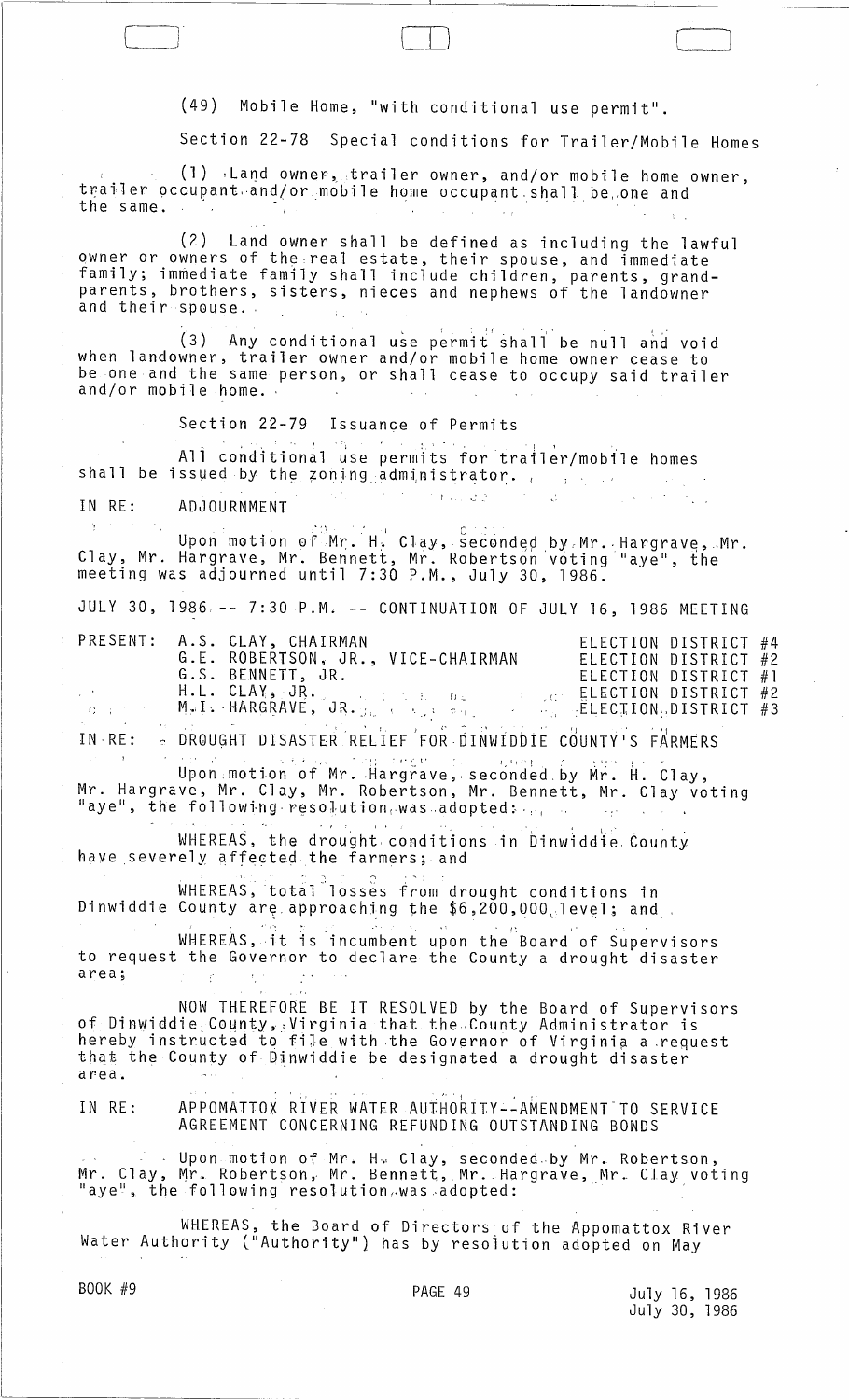(49) Mobile Home, "with conditional use permit".

 $\Box$ 

Section 22-78 Special conditions for Trailer/Mobile Homes

(1) Land owner, trailer owner, and/or mobile home owner, trailer occupant.and/or mobile home occupant shall be one and the same.

(2) Land owner shall be defined as including the lawful owner or owners of the,rea1 estate, their spouse, and immediate family; immediate family shall include children, parents, grandparents, brothers, sisters, nieces and nephews of the landowner and their spouse.

(3) Any conditional use permit shall be null and void when landowner, trailer owner and/or mobile home owner cease to be one and the same person, or shall cease to occupy said trailer and/or mobile home. '

Section 22-79 Issuance of Permits

All conditional use permits for trailer/mobile homes shall be issued by the zoning administrator.  $\frac{1}{2}$ 

IN RE: ADJOURNMENT

. : \ 0 ~\_ Upon motion of Mr. H·. CJaY,·secGnded by,Mr .. Hargrave,.,Mr. Clay, Mr. Hargrave, Mr. Bennett, Mr. Robertson'votingllaye ll , the meeting was adjourned until 7:30 P.M., July 30, 1986.

JULY 30, 1986, -- 7:30 P.M. **--** CONTINUATION OF JULY 16, 1986 MEETING

|                 | PRESENT: A.S. CLAY, CHAIRMAN                                                                                           | ELECTION DISTRICT #4                                                          |
|-----------------|------------------------------------------------------------------------------------------------------------------------|-------------------------------------------------------------------------------|
|                 | G.E. ROBERTSON, JR., VICE-CHAIRMAN                                                                                     | ELECTION DISTRICT #2                                                          |
|                 | G.S. BENNETT, JR.                                                                                                      | ELECTION DISTRICT #1                                                          |
| <b>Contract</b> | $\text{H.L. CLAY}_{\bullet} / \text{JR}_{\bullet}$ , $\text{J. R.}$ , $\text{J. R.}$ , $\text{J. R.}$ , $\text{J. R.}$ | ELECTION DISTRICT #2                                                          |
| 计数据 医心包         | MAI: HARGRAVE, JR. <sub>Mart</sub> e Register                                                                          | $\mathcal{L} = \{ \mathbf{L}_1, \ldots, \mathbf{L}_n \}$ ELECTION DISTRICT #3 |

. I:, ' L) "--: .; . I) "1. IN·RE: ~ DRQUGHT DISASTER RELIEF FOR·DINWIDDIE COUNTY·SFARMERS - THE REAL PROPERTIES ON THE SAFE<br>- I'm the I' , the state of the property of the same of the same of the same of the same of the same of the sa

Upon motion of Mr. Hargrave, seconded by Mr. H. Clay,<br>Mr. Hargrave, Mr. Clay, Mr. Robertson, Mr. Bennett, Mr. Clay voting "aye", the following resolution was adopted:  $\mathbf{u}_i$ 

WHEREAS, the drought conditions in Dinwiddie County have severely affected the farmers; and

 $\overset{\circ}{\textsf{WHEREAS}}$ , total $^{\circ}$ losses from drought conditions in Dinwiddie County are approaching the \$6,200,000 level; and

WHEREAS, it is incumbent upon the Board of Supervisors to request the Governor to declare the County a drought disaster area;  $\sim$   $\sim$ 

NOW THEREFORE BE IT RESOLVED by the Board of Supervisors of Dinwiddie County, Virginia that the County Administrator is hereby instructed to file with ,the Governor of Virginip. a ,request that the County of Dinwiddie be designated a drought disaster area.

IN RE: APPOMATTOX RIVER WATER AUTHORITY--AMENDMENT TO SERVICE AGREEMENT CONCERNING REFUNDING OUTSTANDING BONDS

Upon motion of Mr. H. Clay, seconded by Mr. Robertson, Mr. Clay, Mr. Robertson, Mr. Bennett, Mr. Hargrave, Mr. Clay voting<br>"aye", the following resolution,was adopted:

WHEREAS, the Board of Directors of the Appomattox River Water Authority C'Authorityll) has by resoiution adopted on May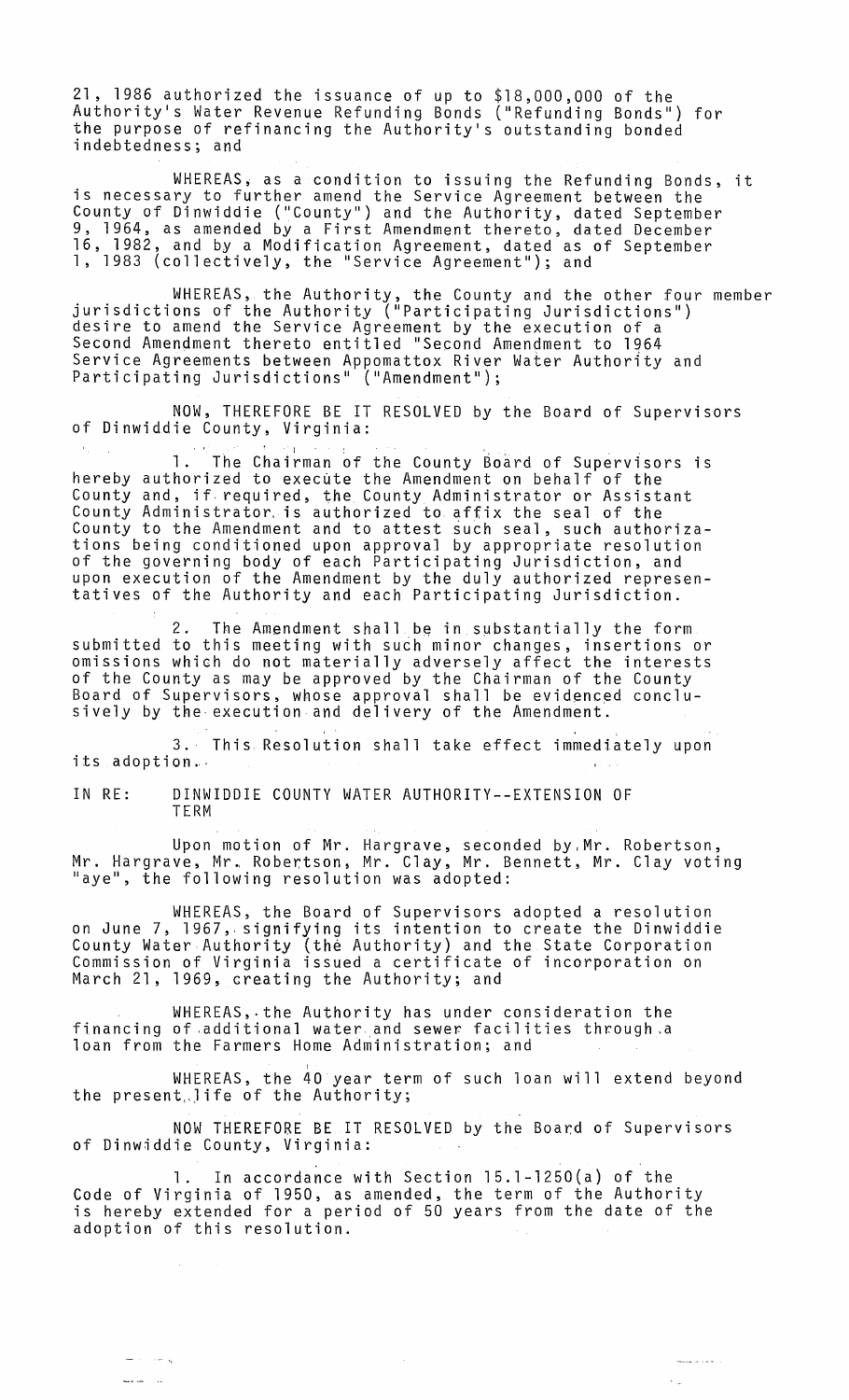21, 1986 authorized the issuance of up to \$18,000,000 of the Authority's Water Revenue Refunding Bonds ("Refunding Bonds") for the purpose of refinancing the Authority·s outstanding bonded indebtedness; and

WHEREAS, as a condition to issuing the Refunding Bonds, it is necessary to further amend the Service Agreement between the County of Dinwiddie ("County") and the Authority, dated September 9, 1964, as amended by a First Amendment thereto, dated December 16, 1982, and by a Modification Agreement, dated as of September<br>1, 1983 (collectively, the "Service Agreement"); and

WHEREAS, the Authority, the County and the other four member jurisdictions of the Authority ("Participating Jurisdictions") desire to amend the Service Agreement by the execution of a Second Amendment thereto entitled "Second Amendment to 1964 Service Agreements between Appomattox River Water Authority and Participating Jurisdictions" ("Amendment");

NOW, THEREFORE BE IT RESOLVED by the Board of Supervisors of Dinwiddie County, Virginia: nny carrisancerons (Amenamene ),<br>NOW, THEREFORE BE IT RESOLVED by the Board of Superviso<br>ie County, Virginia:<br>1. The Chairman of the County Board of Supervisors is

hereby authorized to execute the Amendment on behalf of the County and, if, required, the County Administrator or Assistant County Administrator, is authorized to affix the seal of the County to the Amendment and to attest such seal, such authorizations being conditioned upon approval by appropriate resolution of the governing body of each Participating Jurisdiction, and upon execution of the Amendment by the duly authorized representatives of the Authority and each Participating Jurisdiction.

2. The Amendment shall be in substantially the form submitted to this meeting with such minor changes, insertions or omissions which do not materially adversely affect the interests of the County as may be approved by the Chairman of the County Board of Supervisors, whose approval shall be evidenced conclusively by the-execution and delivery of the Amendment.

3. This Resolution shall take effect immediately upon its adoption.-

IN RE: DINWIDDIE COUNTY WATER AUTHORITY--EXTENSION OF TERM

Upon motion of Mr. Hargrave, seconded by, Mr. Robertson, Mr. Hargrave, Mr., Robertson, Mr. Clay, Mr. Bennett, Mr. Clay voting "aye", the following resolution was adopted:

WHEREAS, the Board of Supervisors adopted a resolution on June 7, 1967, signifying its intention to create the Dinwiddie County Water Authority (the Authority) and the State Corporation Commission of Virginia issued a certificate of incorporation on March 21, 1969, creating the Authority; and

WHEREAS,.the Authority has under consideration the financing of additional water and sewer-facilities through a loan from the Farmers Home Administration; and

WHEREAS, the 40 year term of such loan will extend beyond the present life of the Authority;

NOW THEREFORE BE IT RESOLVED by the Board of Supervisors of Dinwiddie County, Virginia:

1. In accordance with Section 15.l-1250(a) of the Code of Virginia of 1950, as amended, the term of the Authority is hereby extended for a period of 50 years from the date of the adoption of this resolution.

and a series

 $\hat{\mathbf{v}}_{\text{obs}}$ 

ي ساد الله

الدارات المدمسة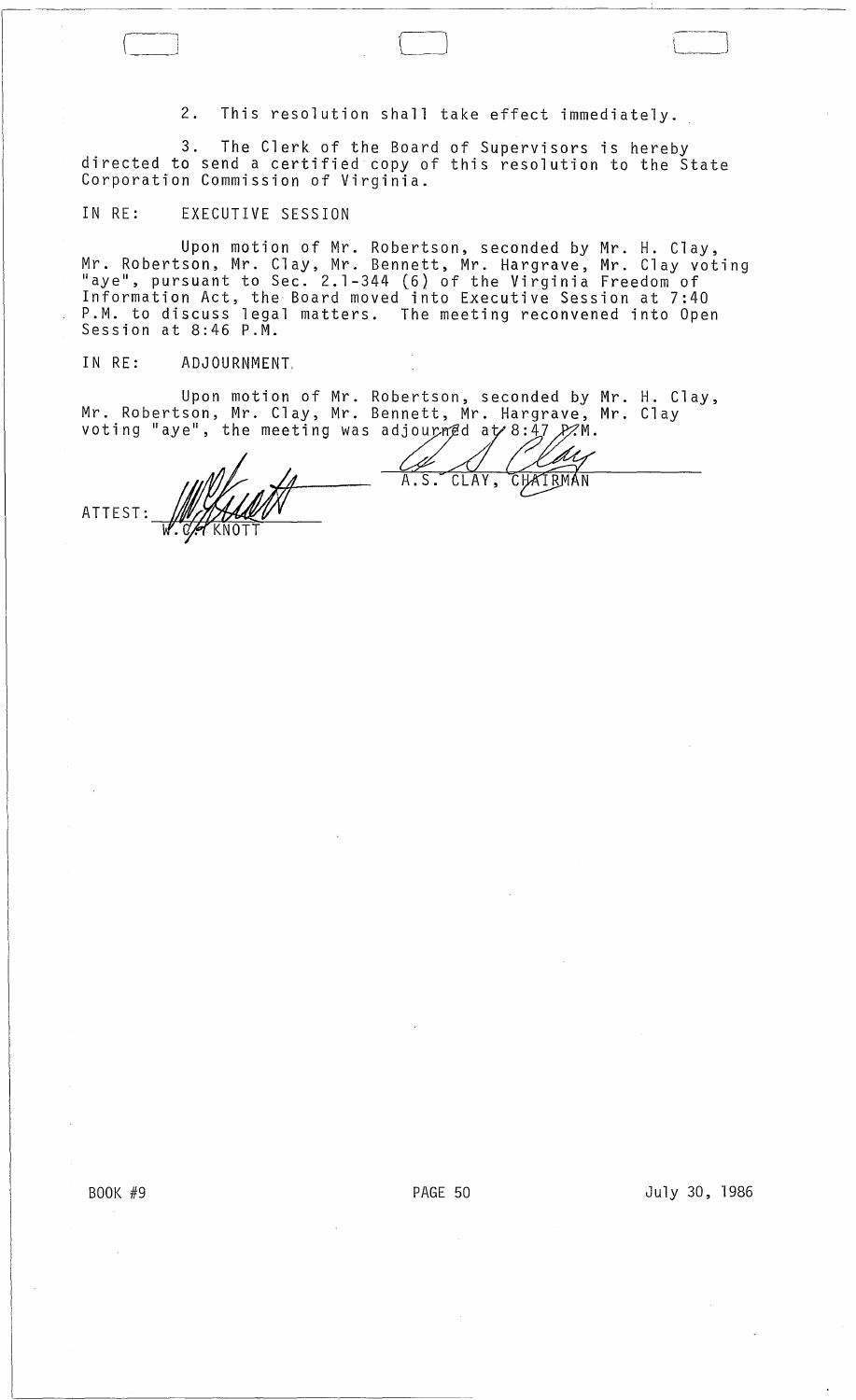2. This resolution shall take effect immediately.

3. The Clerk of the Board of Supervisors is hereby directed to send a certified copy of this resolution to the State Corporation Commission of Virginia.

## IN RE: EXECUTIVE SESSION

r-i ----'

Upon motion of Mr. Robertson, seconded by Mr. H. Clay, Mr. Robertson, Mr. Clay, Mr. Bennett, Mr. Hargrave, Mr. Clay voting "aye", pursuant to Sec. 2.1-344 (6) of the Virginia Freedom of Information Act, the Board moved into Executive Session at 7:40 P.M. to discuss legal matters. The meeting reconvened into Open<br>Session at 8:46 P.M.

## IN RE: ADJOURNMENT,

Upon motion of Mr. Robertson, seconded by Mr. H. Clay, Mr. Robertson, Mr. Clay, Mr. Bennett, Mr. Hargrave, Mr. Clay voting "aye", the meeting was adjourned at 8:47  $\cancel{\cancel{P}}\cancel{\cancel{P}}\cancel{\land\land}$ .

CHATRMAN CLAY,  $A.S.$ ATTEST: